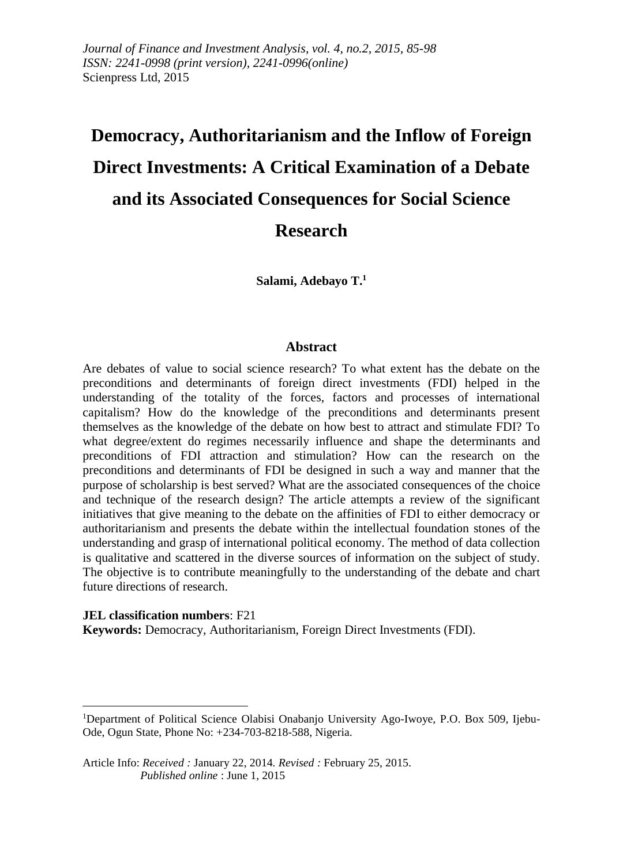*Journal of Finance and Investment Analysis, vol. 4, no.2, 2015, 85-98 ISSN: 2241-0998 (print version), 2241-0996(online)* Scienpress Ltd, 2015

# **Democracy, Authoritarianism and the Inflow of Foreign Direct Investments: A Critical Examination of a Debate and its Associated Consequences for Social Science Research**

**Salami, Adebayo T.<sup>1</sup>**

#### **Abstract**

Are debates of value to social science research? To what extent has the debate on the preconditions and determinants of foreign direct investments (FDI) helped in the understanding of the totality of the forces, factors and processes of international capitalism? How do the knowledge of the preconditions and determinants present themselves as the knowledge of the debate on how best to attract and stimulate FDI? To what degree/extent do regimes necessarily influence and shape the determinants and preconditions of FDI attraction and stimulation? How can the research on the preconditions and determinants of FDI be designed in such a way and manner that the purpose of scholarship is best served? What are the associated consequences of the choice and technique of the research design? The article attempts a review of the significant initiatives that give meaning to the debate on the affinities of FDI to either democracy or authoritarianism and presents the debate within the intellectual foundation stones of the understanding and grasp of international political economy. The method of data collection is qualitative and scattered in the diverse sources of information on the subject of study. The objective is to contribute meaningfully to the understanding of the debate and chart future directions of research.

#### **JEL classification numbers**: F21

**.** 

**Keywords:** Democracy, Authoritarianism, Foreign Direct Investments (FDI).

<sup>1</sup>Department of Political Science Olabisi Onabanjo University Ago-Iwoye, P.O. Box 509, Ijebu-Ode, Ogun State, Phone No: +234-703-8218-588, Nigeria.

Article Info: *Received :* January 22, 2014*. Revised :* February 25, 2015.  *Published online* : June 1, 2015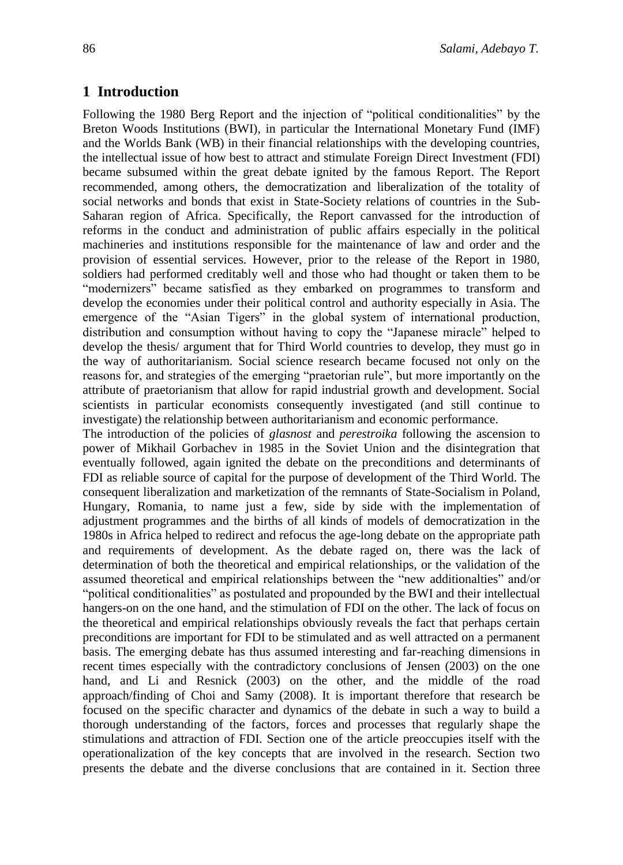### **1 Introduction**

Following the 1980 Berg Report and the injection of "political conditionalities" by the Breton Woods Institutions (BWI), in particular the International Monetary Fund (IMF) and the Worlds Bank (WB) in their financial relationships with the developing countries, the intellectual issue of how best to attract and stimulate Foreign Direct Investment (FDI) became subsumed within the great debate ignited by the famous Report. The Report recommended, among others, the democratization and liberalization of the totality of social networks and bonds that exist in State-Society relations of countries in the Sub-Saharan region of Africa. Specifically, the Report canvassed for the introduction of reforms in the conduct and administration of public affairs especially in the political machineries and institutions responsible for the maintenance of law and order and the provision of essential services. However, prior to the release of the Report in 1980, soldiers had performed creditably well and those who had thought or taken them to be "modernizers" became satisfied as they embarked on programmes to transform and develop the economies under their political control and authority especially in Asia. The emergence of the "Asian Tigers" in the global system of international production, distribution and consumption without having to copy the "Japanese miracle" helped to develop the thesis/ argument that for Third World countries to develop, they must go in the way of authoritarianism. Social science research became focused not only on the reasons for, and strategies of the emerging "praetorian rule", but more importantly on the attribute of praetorianism that allow for rapid industrial growth and development. Social scientists in particular economists consequently investigated (and still continue to investigate) the relationship between authoritarianism and economic performance.

The introduction of the policies of *glasnost* and *perestroika* following the ascension to power of Mikhail Gorbachev in 1985 in the Soviet Union and the disintegration that eventually followed, again ignited the debate on the preconditions and determinants of FDI as reliable source of capital for the purpose of development of the Third World. The consequent liberalization and marketization of the remnants of State-Socialism in Poland, Hungary, Romania, to name just a few, side by side with the implementation of adjustment programmes and the births of all kinds of models of democratization in the 1980s in Africa helped to redirect and refocus the age-long debate on the appropriate path and requirements of development. As the debate raged on, there was the lack of determination of both the theoretical and empirical relationships, or the validation of the assumed theoretical and empirical relationships between the "new additionalties" and/or "political conditionalities" as postulated and propounded by the BWI and their intellectual hangers-on on the one hand, and the stimulation of FDI on the other. The lack of focus on the theoretical and empirical relationships obviously reveals the fact that perhaps certain preconditions are important for FDI to be stimulated and as well attracted on a permanent basis. The emerging debate has thus assumed interesting and far-reaching dimensions in recent times especially with the contradictory conclusions of Jensen (2003) on the one hand, and Li and Resnick (2003) on the other, and the middle of the road approach/finding of Choi and Samy (2008). It is important therefore that research be focused on the specific character and dynamics of the debate in such a way to build a thorough understanding of the factors, forces and processes that regularly shape the stimulations and attraction of FDI. Section one of the article preoccupies itself with the operationalization of the key concepts that are involved in the research. Section two presents the debate and the diverse conclusions that are contained in it. Section three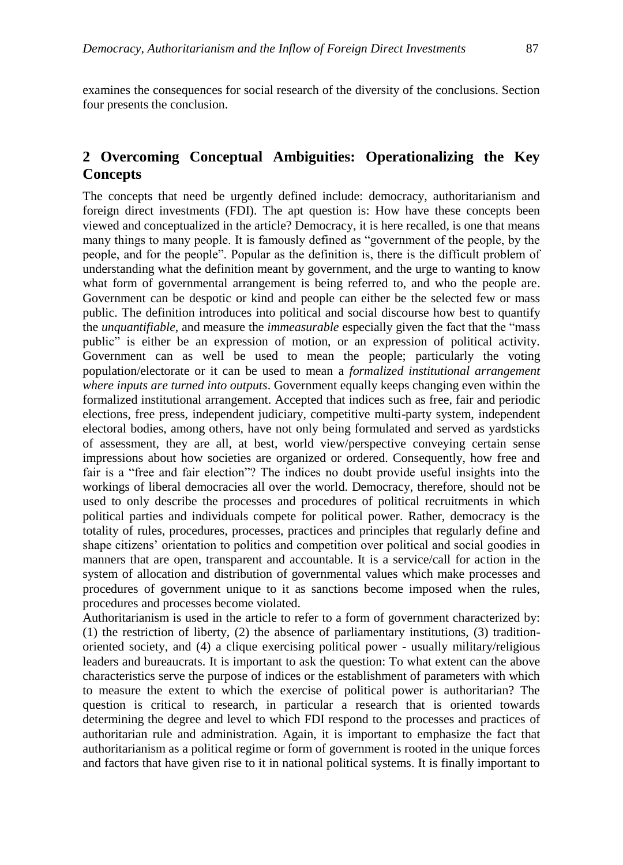examines the consequences for social research of the diversity of the conclusions. Section four presents the conclusion.

# **2 Overcoming Conceptual Ambiguities: Operationalizing the Key Concepts**

The concepts that need be urgently defined include: democracy, authoritarianism and foreign direct investments (FDI). The apt question is: How have these concepts been viewed and conceptualized in the article? Democracy, it is here recalled, is one that means many things to many people. It is famously defined as "government of the people, by the people, and for the people". Popular as the definition is, there is the difficult problem of understanding what the definition meant by government, and the urge to wanting to know what form of governmental arrangement is being referred to, and who the people are. Government can be despotic or kind and people can either be the selected few or mass public. The definition introduces into political and social discourse how best to quantify the *unquantifiable*, and measure the *immeasurable* especially given the fact that the "mass public" is either be an expression of motion, or an expression of political activity. Government can as well be used to mean the people; particularly the voting population/electorate or it can be used to mean a *formalized institutional arrangement where inputs are turned into outputs*. Government equally keeps changing even within the formalized institutional arrangement. Accepted that indices such as free, fair and periodic elections, free press, independent judiciary, competitive multi-party system, independent electoral bodies, among others, have not only being formulated and served as yardsticks of assessment, they are all, at best, world view/perspective conveying certain sense impressions about how societies are organized or ordered. Consequently, how free and fair is a "free and fair election"? The indices no doubt provide useful insights into the workings of liberal democracies all over the world. Democracy, therefore, should not be used to only describe the processes and procedures of political recruitments in which political parties and individuals compete for political power. Rather, democracy is the totality of rules, procedures, processes, practices and principles that regularly define and shape citizens' orientation to politics and competition over political and social goodies in manners that are open, transparent and accountable. It is a service/call for action in the system of allocation and distribution of governmental values which make processes and procedures of government unique to it as sanctions become imposed when the rules, procedures and processes become violated.

Authoritarianism is used in the article to refer to a form of government characterized by: (1) the restriction of liberty, (2) the absence of parliamentary institutions, (3) traditionoriented society, and (4) a clique exercising political power - usually military/religious leaders and bureaucrats. It is important to ask the question: To what extent can the above characteristics serve the purpose of indices or the establishment of parameters with which to measure the extent to which the exercise of political power is authoritarian? The question is critical to research, in particular a research that is oriented towards determining the degree and level to which FDI respond to the processes and practices of authoritarian rule and administration. Again, it is important to emphasize the fact that authoritarianism as a political regime or form of government is rooted in the unique forces and factors that have given rise to it in national political systems. It is finally important to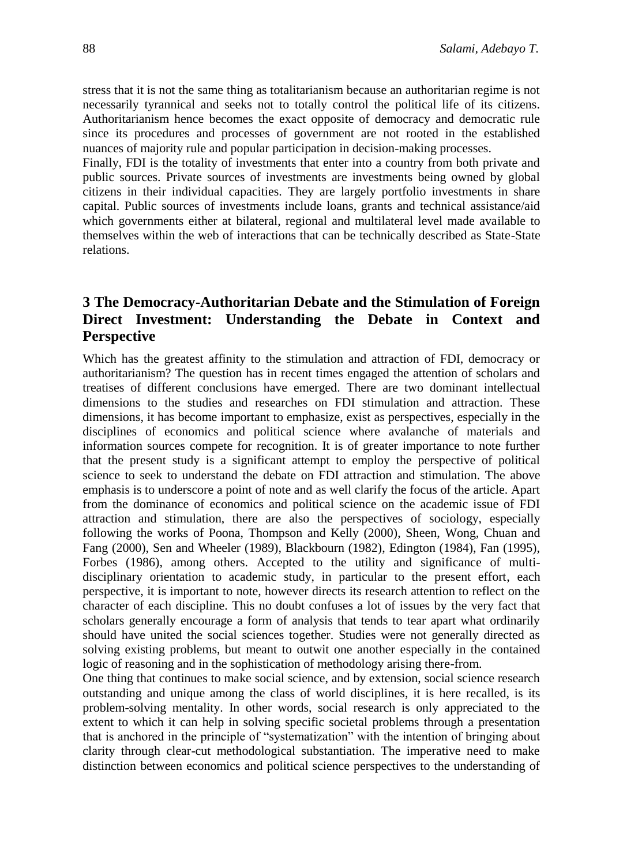stress that it is not the same thing as totalitarianism because an authoritarian regime is not necessarily tyrannical and seeks not to totally control the political life of its citizens. Authoritarianism hence becomes the exact opposite of democracy and democratic rule since its procedures and processes of government are not rooted in the established nuances of majority rule and popular participation in decision-making processes.

Finally, FDI is the totality of investments that enter into a country from both private and public sources. Private sources of investments are investments being owned by global citizens in their individual capacities. They are largely portfolio investments in share capital. Public sources of investments include loans, grants and technical assistance/aid which governments either at bilateral, regional and multilateral level made available to themselves within the web of interactions that can be technically described as State-State relations.

# **3 The Democracy-Authoritarian Debate and the Stimulation of Foreign Direct Investment: Understanding the Debate in Context and Perspective**

Which has the greatest affinity to the stimulation and attraction of FDI, democracy or authoritarianism? The question has in recent times engaged the attention of scholars and treatises of different conclusions have emerged. There are two dominant intellectual dimensions to the studies and researches on FDI stimulation and attraction. These dimensions, it has become important to emphasize, exist as perspectives, especially in the disciplines of economics and political science where avalanche of materials and information sources compete for recognition. It is of greater importance to note further that the present study is a significant attempt to employ the perspective of political science to seek to understand the debate on FDI attraction and stimulation. The above emphasis is to underscore a point of note and as well clarify the focus of the article. Apart from the dominance of economics and political science on the academic issue of FDI attraction and stimulation, there are also the perspectives of sociology, especially following the works of Poona, Thompson and Kelly (2000), Sheen, Wong, Chuan and Fang (2000), Sen and Wheeler (1989), Blackbourn (1982), Edington (1984), Fan (1995), Forbes (1986), among others. Accepted to the utility and significance of multidisciplinary orientation to academic study, in particular to the present effort, each perspective, it is important to note, however directs its research attention to reflect on the character of each discipline. This no doubt confuses a lot of issues by the very fact that scholars generally encourage a form of analysis that tends to tear apart what ordinarily should have united the social sciences together. Studies were not generally directed as solving existing problems, but meant to outwit one another especially in the contained logic of reasoning and in the sophistication of methodology arising there-from.

One thing that continues to make social science, and by extension, social science research outstanding and unique among the class of world disciplines, it is here recalled, is its problem-solving mentality. In other words, social research is only appreciated to the extent to which it can help in solving specific societal problems through a presentation that is anchored in the principle of "systematization" with the intention of bringing about clarity through clear-cut methodological substantiation. The imperative need to make distinction between economics and political science perspectives to the understanding of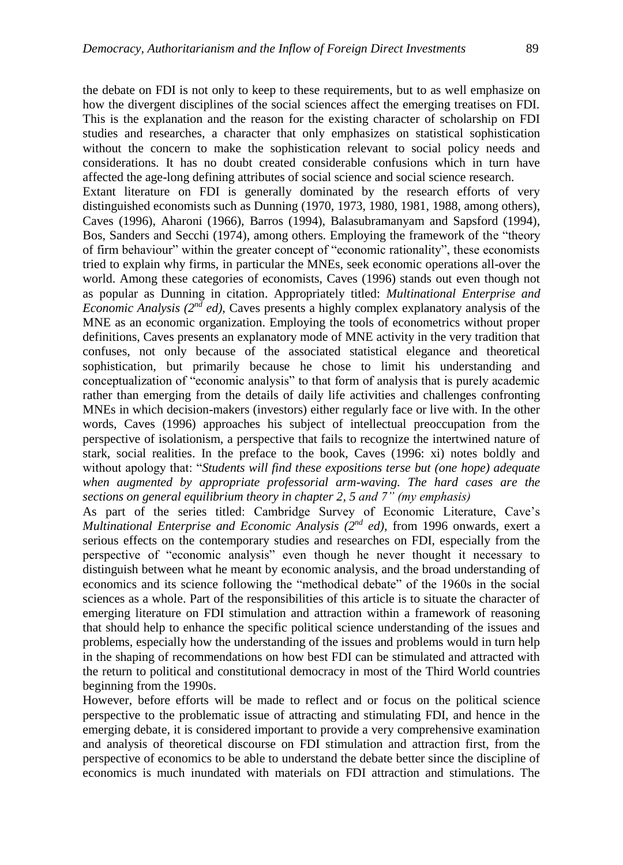the debate on FDI is not only to keep to these requirements, but to as well emphasize on how the divergent disciplines of the social sciences affect the emerging treatises on FDI. This is the explanation and the reason for the existing character of scholarship on FDI studies and researches, a character that only emphasizes on statistical sophistication without the concern to make the sophistication relevant to social policy needs and considerations. It has no doubt created considerable confusions which in turn have affected the age-long defining attributes of social science and social science research. Extant literature on FDI is generally dominated by the research efforts of very distinguished economists such as Dunning (1970, 1973, 1980, 1981, 1988, among others), Caves (1996), Aharoni (1966), Barros (1994), Balasubramanyam and Sapsford (1994), Bos, Sanders and Secchi (1974), among others. Employing the framework of the "theory of firm behaviour" within the greater concept of "economic rationality", these economists tried to explain why firms, in particular the MNEs, seek economic operations all-over the world. Among these categories of economists, Caves (1996) stands out even though not as popular as Dunning in citation. Appropriately titled: *Multinational Enterprise and Economic Analysis (* $2^{nd}$  *ed)*, Caves presents a highly complex explanatory analysis of the MNE as an economic organization. Employing the tools of econometrics without proper definitions, Caves presents an explanatory mode of MNE activity in the very tradition that confuses, not only because of the associated statistical elegance and theoretical sophistication, but primarily because he chose to limit his understanding and conceptualization of "economic analysis" to that form of analysis that is purely academic rather than emerging from the details of daily life activities and challenges confronting MNEs in which decision-makers (investors) either regularly face or live with. In the other words, Caves (1996) approaches his subject of intellectual preoccupation from the perspective of isolationism, a perspective that fails to recognize the intertwined nature of stark, social realities. In the preface to the book, Caves (1996: xi) notes boldly and without apology that: "*Students will find these expositions terse but (one hope) adequate when augmented by appropriate professorial arm-waving. The hard cases are the sections on general equilibrium theory in chapter 2, 5 and 7" (my emphasis)*

As part of the series titled: Cambridge Survey of Economic Literature, Cave's *Multinational Enterprise and Economic Analysis (2nd ed),* from 1996 onwards, exert a serious effects on the contemporary studies and researches on FDI, especially from the perspective of "economic analysis" even though he never thought it necessary to distinguish between what he meant by economic analysis, and the broad understanding of economics and its science following the "methodical debate" of the 1960s in the social sciences as a whole. Part of the responsibilities of this article is to situate the character of emerging literature on FDI stimulation and attraction within a framework of reasoning that should help to enhance the specific political science understanding of the issues and problems, especially how the understanding of the issues and problems would in turn help in the shaping of recommendations on how best FDI can be stimulated and attracted with the return to political and constitutional democracy in most of the Third World countries beginning from the 1990s.

However, before efforts will be made to reflect and or focus on the political science perspective to the problematic issue of attracting and stimulating FDI, and hence in the emerging debate, it is considered important to provide a very comprehensive examination and analysis of theoretical discourse on FDI stimulation and attraction first, from the perspective of economics to be able to understand the debate better since the discipline of economics is much inundated with materials on FDI attraction and stimulations. The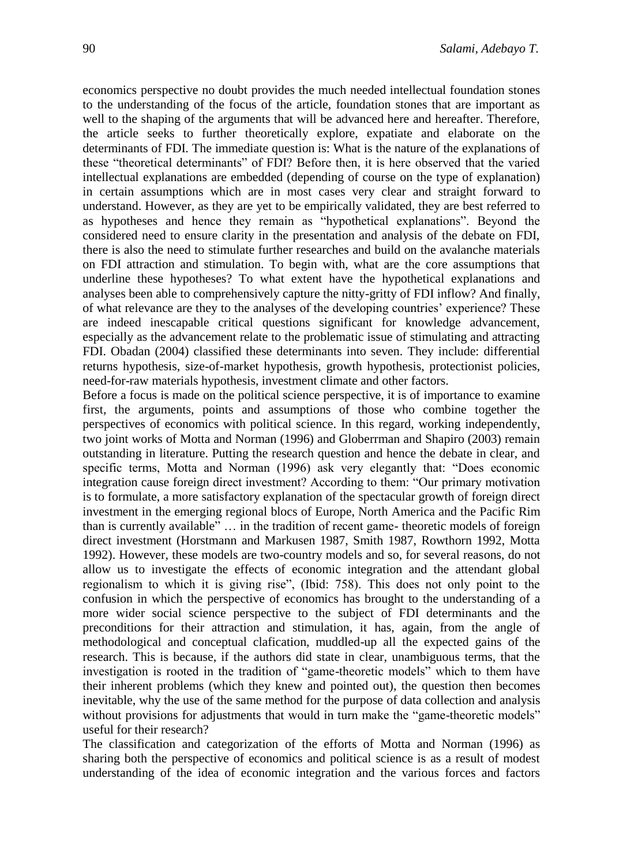economics perspective no doubt provides the much needed intellectual foundation stones to the understanding of the focus of the article, foundation stones that are important as well to the shaping of the arguments that will be advanced here and hereafter. Therefore, the article seeks to further theoretically explore, expatiate and elaborate on the determinants of FDI. The immediate question is: What is the nature of the explanations of these "theoretical determinants" of FDI? Before then, it is here observed that the varied intellectual explanations are embedded (depending of course on the type of explanation) in certain assumptions which are in most cases very clear and straight forward to understand. However, as they are yet to be empirically validated, they are best referred to as hypotheses and hence they remain as "hypothetical explanations". Beyond the considered need to ensure clarity in the presentation and analysis of the debate on FDI, there is also the need to stimulate further researches and build on the avalanche materials on FDI attraction and stimulation. To begin with, what are the core assumptions that underline these hypotheses? To what extent have the hypothetical explanations and analyses been able to comprehensively capture the nitty-gritty of FDI inflow? And finally, of what relevance are they to the analyses of the developing countries' experience? These are indeed inescapable critical questions significant for knowledge advancement, especially as the advancement relate to the problematic issue of stimulating and attracting FDI. Obadan (2004) classified these determinants into seven. They include: differential returns hypothesis, size-of-market hypothesis, growth hypothesis, protectionist policies, need-for-raw materials hypothesis, investment climate and other factors.

Before a focus is made on the political science perspective, it is of importance to examine first, the arguments, points and assumptions of those who combine together the perspectives of economics with political science. In this regard, working independently, two joint works of Motta and Norman (1996) and Globerrman and Shapiro (2003) remain outstanding in literature. Putting the research question and hence the debate in clear, and specific terms, Motta and Norman (1996) ask very elegantly that: "Does economic integration cause foreign direct investment? According to them: "Our primary motivation is to formulate, a more satisfactory explanation of the spectacular growth of foreign direct investment in the emerging regional blocs of Europe, North America and the Pacific Rim than is currently available" … in the tradition of recent game- theoretic models of foreign direct investment (Horstmann and Markusen 1987, Smith 1987, Rowthorn 1992, Motta 1992). However, these models are two-country models and so, for several reasons, do not allow us to investigate the effects of economic integration and the attendant global regionalism to which it is giving rise", (Ibid: 758). This does not only point to the confusion in which the perspective of economics has brought to the understanding of a more wider social science perspective to the subject of FDI determinants and the preconditions for their attraction and stimulation, it has, again, from the angle of methodological and conceptual clafication, muddled-up all the expected gains of the research. This is because, if the authors did state in clear, unambiguous terms, that the investigation is rooted in the tradition of "game-theoretic models" which to them have their inherent problems (which they knew and pointed out), the question then becomes inevitable, why the use of the same method for the purpose of data collection and analysis without provisions for adjustments that would in turn make the "game-theoretic models" useful for their research?

The classification and categorization of the efforts of Motta and Norman (1996) as sharing both the perspective of economics and political science is as a result of modest understanding of the idea of economic integration and the various forces and factors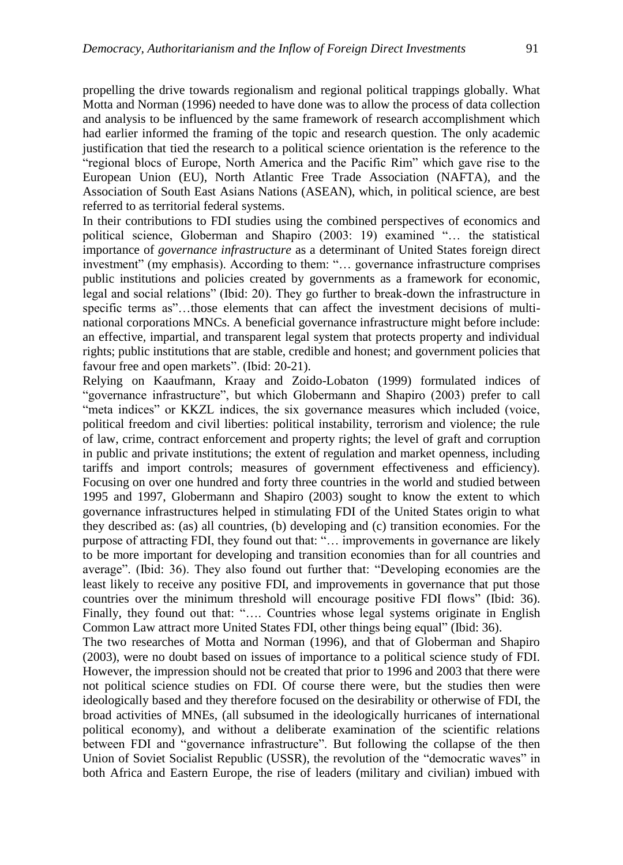propelling the drive towards regionalism and regional political trappings globally. What Motta and Norman (1996) needed to have done was to allow the process of data collection and analysis to be influenced by the same framework of research accomplishment which had earlier informed the framing of the topic and research question. The only academic justification that tied the research to a political science orientation is the reference to the "regional blocs of Europe, North America and the Pacific Rim" which gave rise to the European Union (EU), North Atlantic Free Trade Association (NAFTA), and the Association of South East Asians Nations (ASEAN), which, in political science, are best referred to as territorial federal systems.

In their contributions to FDI studies using the combined perspectives of economics and political science, Globerman and Shapiro (2003: 19) examined "… the statistical importance of *governance infrastructure* as a determinant of United States foreign direct investment" (my emphasis). According to them: "… governance infrastructure comprises public institutions and policies created by governments as a framework for economic, legal and social relations" (Ibid: 20). They go further to break-down the infrastructure in specific terms as"...those elements that can affect the investment decisions of multinational corporations MNCs. A beneficial governance infrastructure might before include: an effective, impartial, and transparent legal system that protects property and individual rights; public institutions that are stable, credible and honest; and government policies that favour free and open markets". (Ibid: 20-21).

Relying on Kaaufmann, Kraay and Zoido-Lobaton (1999) formulated indices of "governance infrastructure", but which Globermann and Shapiro (2003) prefer to call "meta indices" or KKZL indices, the six governance measures which included (voice, political freedom and civil liberties: political instability, terrorism and violence; the rule of law, crime, contract enforcement and property rights; the level of graft and corruption in public and private institutions; the extent of regulation and market openness, including tariffs and import controls; measures of government effectiveness and efficiency). Focusing on over one hundred and forty three countries in the world and studied between 1995 and 1997, Globermann and Shapiro (2003) sought to know the extent to which governance infrastructures helped in stimulating FDI of the United States origin to what they described as: (as) all countries, (b) developing and (c) transition economies. For the purpose of attracting FDI, they found out that: "… improvements in governance are likely to be more important for developing and transition economies than for all countries and average". (Ibid: 36). They also found out further that: "Developing economies are the least likely to receive any positive FDI, and improvements in governance that put those countries over the minimum threshold will encourage positive FDI flows" (Ibid: 36). Finally, they found out that: "…. Countries whose legal systems originate in English Common Law attract more United States FDI, other things being equal" (Ibid: 36).

The two researches of Motta and Norman (1996), and that of Globerman and Shapiro (2003), were no doubt based on issues of importance to a political science study of FDI. However, the impression should not be created that prior to 1996 and 2003 that there were not political science studies on FDI. Of course there were, but the studies then were ideologically based and they therefore focused on the desirability or otherwise of FDI, the broad activities of MNEs, (all subsumed in the ideologically hurricanes of international political economy), and without a deliberate examination of the scientific relations between FDI and "governance infrastructure". But following the collapse of the then Union of Soviet Socialist Republic (USSR), the revolution of the "democratic waves" in both Africa and Eastern Europe, the rise of leaders (military and civilian) imbued with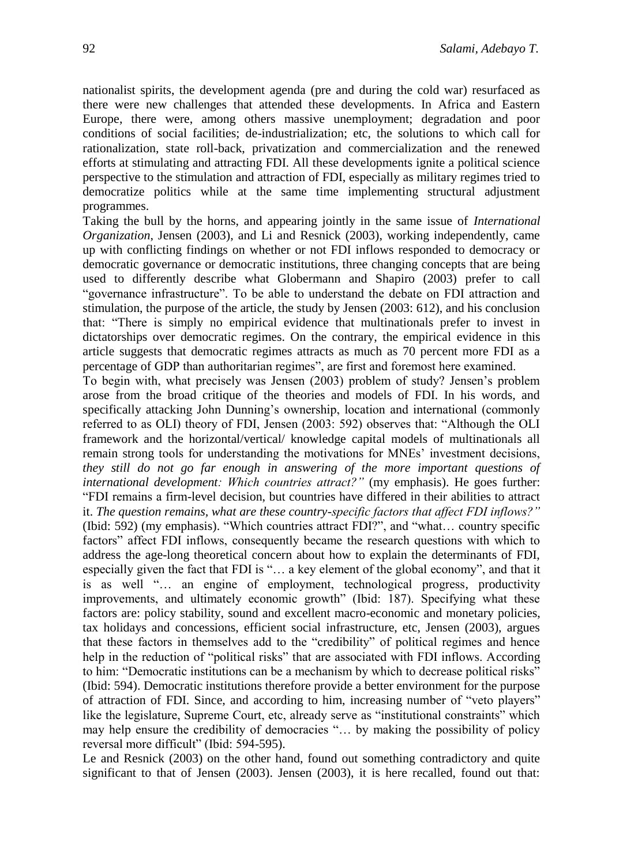nationalist spirits, the development agenda (pre and during the cold war) resurfaced as there were new challenges that attended these developments. In Africa and Eastern Europe, there were, among others massive unemployment; degradation and poor conditions of social facilities; de-industrialization; etc, the solutions to which call for rationalization, state roll-back, privatization and commercialization and the renewed efforts at stimulating and attracting FDI. All these developments ignite a political science perspective to the stimulation and attraction of FDI, especially as military regimes tried to democratize politics while at the same time implementing structural adjustment programmes.

Taking the bull by the horns, and appearing jointly in the same issue of *International Organization*, Jensen (2003), and Li and Resnick (2003), working independently, came up with conflicting findings on whether or not FDI inflows responded to democracy or democratic governance or democratic institutions, three changing concepts that are being used to differently describe what Globermann and Shapiro (2003) prefer to call "governance infrastructure". To be able to understand the debate on FDI attraction and stimulation, the purpose of the article, the study by Jensen (2003: 612), and his conclusion that: "There is simply no empirical evidence that multinationals prefer to invest in dictatorships over democratic regimes. On the contrary, the empirical evidence in this article suggests that democratic regimes attracts as much as 70 percent more FDI as a percentage of GDP than authoritarian regimes", are first and foremost here examined.

To begin with, what precisely was Jensen (2003) problem of study? Jensen's problem arose from the broad critique of the theories and models of FDI. In his words, and specifically attacking John Dunning's ownership, location and international (commonly referred to as OLI) theory of FDI, Jensen (2003: 592) observes that: "Although the OLI framework and the horizontal/vertical/ knowledge capital models of multinationals all remain strong tools for understanding the motivations for MNEs' investment decisions, *they still do not go far enough in answering of the more important questions of international development: Which countries attract?"* (my emphasis). He goes further: "FDI remains a firm-level decision, but countries have differed in their abilities to attract it. *The question remains, what are these country-specific factors that affect FDI inflows?"*  (Ibid: 592) (my emphasis). "Which countries attract FDI?", and "what… country specific factors" affect FDI inflows, consequently became the research questions with which to address the age-long theoretical concern about how to explain the determinants of FDI, especially given the fact that FDI is "… a key element of the global economy", and that it is as well "… an engine of employment, technological progress, productivity improvements, and ultimately economic growth" (Ibid: 187). Specifying what these factors are: policy stability, sound and excellent macro-economic and monetary policies, tax holidays and concessions, efficient social infrastructure, etc, Jensen (2003), argues that these factors in themselves add to the "credibility" of political regimes and hence help in the reduction of "political risks" that are associated with FDI inflows. According to him: "Democratic institutions can be a mechanism by which to decrease political risks" (Ibid: 594). Democratic institutions therefore provide a better environment for the purpose of attraction of FDI. Since, and according to him, increasing number of "veto players" like the legislature, Supreme Court, etc, already serve as "institutional constraints" which may help ensure the credibility of democracies "… by making the possibility of policy reversal more difficult" (Ibid: 594-595).

Le and Resnick (2003) on the other hand, found out something contradictory and quite significant to that of Jensen (2003). Jensen (2003), it is here recalled, found out that: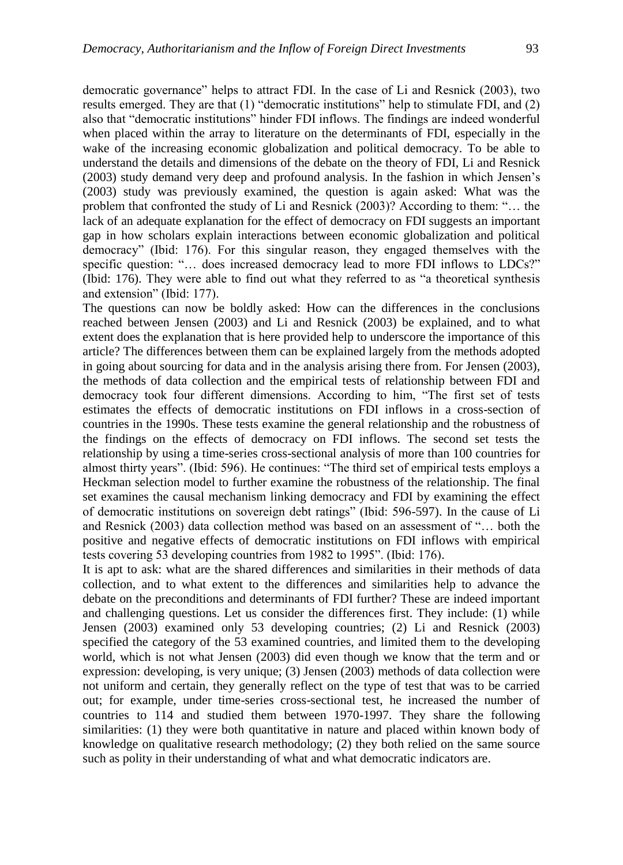democratic governance" helps to attract FDI. In the case of Li and Resnick (2003), two results emerged. They are that (1) "democratic institutions" help to stimulate FDI, and (2) also that "democratic institutions" hinder FDI inflows. The findings are indeed wonderful when placed within the array to literature on the determinants of FDI, especially in the wake of the increasing economic globalization and political democracy. To be able to understand the details and dimensions of the debate on the theory of FDI, Li and Resnick (2003) study demand very deep and profound analysis. In the fashion in which Jensen's (2003) study was previously examined, the question is again asked: What was the problem that confronted the study of Li and Resnick (2003)? According to them: "… the lack of an adequate explanation for the effect of democracy on FDI suggests an important gap in how scholars explain interactions between economic globalization and political democracy" (Ibid: 176). For this singular reason, they engaged themselves with the specific question: "... does increased democracy lead to more FDI inflows to LDCs?" (Ibid: 176). They were able to find out what they referred to as "a theoretical synthesis and extension" (Ibid: 177).

The questions can now be boldly asked: How can the differences in the conclusions reached between Jensen (2003) and Li and Resnick (2003) be explained, and to what extent does the explanation that is here provided help to underscore the importance of this article? The differences between them can be explained largely from the methods adopted in going about sourcing for data and in the analysis arising there from. For Jensen (2003), the methods of data collection and the empirical tests of relationship between FDI and democracy took four different dimensions. According to him, "The first set of tests estimates the effects of democratic institutions on FDI inflows in a cross-section of countries in the 1990s. These tests examine the general relationship and the robustness of the findings on the effects of democracy on FDI inflows. The second set tests the relationship by using a time-series cross-sectional analysis of more than 100 countries for almost thirty years". (Ibid: 596). He continues: "The third set of empirical tests employs a Heckman selection model to further examine the robustness of the relationship. The final set examines the causal mechanism linking democracy and FDI by examining the effect of democratic institutions on sovereign debt ratings" (Ibid: 596-597). In the cause of Li and Resnick (2003) data collection method was based on an assessment of "… both the positive and negative effects of democratic institutions on FDI inflows with empirical tests covering 53 developing countries from 1982 to 1995". (Ibid: 176).

It is apt to ask: what are the shared differences and similarities in their methods of data collection, and to what extent to the differences and similarities help to advance the debate on the preconditions and determinants of FDI further? These are indeed important and challenging questions. Let us consider the differences first. They include: (1) while Jensen (2003) examined only 53 developing countries; (2) Li and Resnick (2003) specified the category of the 53 examined countries, and limited them to the developing world, which is not what Jensen (2003) did even though we know that the term and or expression: developing, is very unique; (3) Jensen (2003) methods of data collection were not uniform and certain, they generally reflect on the type of test that was to be carried out; for example, under time-series cross-sectional test, he increased the number of countries to 114 and studied them between 1970-1997. They share the following similarities: (1) they were both quantitative in nature and placed within known body of knowledge on qualitative research methodology; (2) they both relied on the same source such as polity in their understanding of what and what democratic indicators are.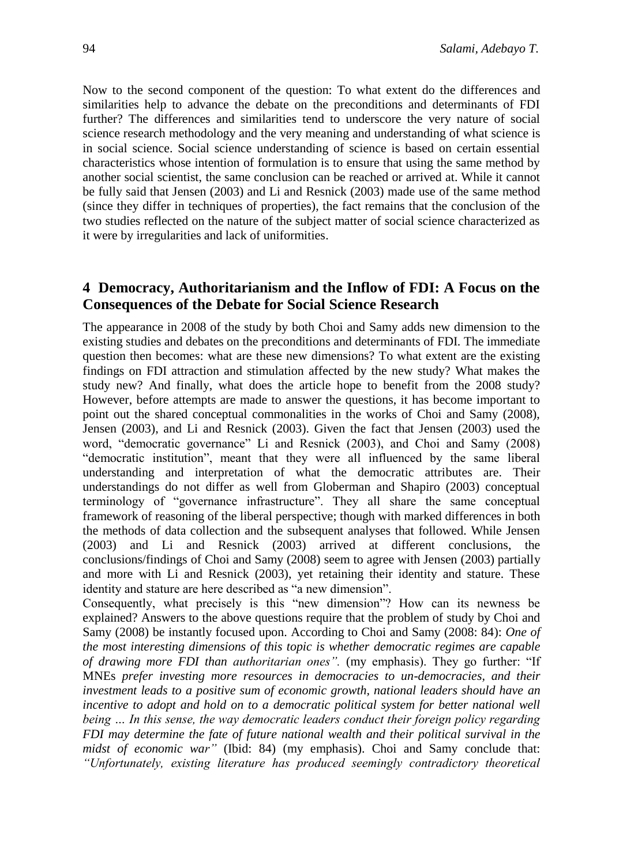Now to the second component of the question: To what extent do the differences and similarities help to advance the debate on the preconditions and determinants of FDI further? The differences and similarities tend to underscore the very nature of social science research methodology and the very meaning and understanding of what science is in social science. Social science understanding of science is based on certain essential characteristics whose intention of formulation is to ensure that using the same method by another social scientist, the same conclusion can be reached or arrived at. While it cannot be fully said that Jensen (2003) and Li and Resnick (2003) made use of the same method (since they differ in techniques of properties), the fact remains that the conclusion of the two studies reflected on the nature of the subject matter of social science characterized as it were by irregularities and lack of uniformities.

# **4 Democracy, Authoritarianism and the Inflow of FDI: A Focus on the Consequences of the Debate for Social Science Research**

The appearance in 2008 of the study by both Choi and Samy adds new dimension to the existing studies and debates on the preconditions and determinants of FDI. The immediate question then becomes: what are these new dimensions? To what extent are the existing findings on FDI attraction and stimulation affected by the new study? What makes the study new? And finally, what does the article hope to benefit from the 2008 study? However, before attempts are made to answer the questions, it has become important to point out the shared conceptual commonalities in the works of Choi and Samy (2008), Jensen (2003), and Li and Resnick (2003). Given the fact that Jensen (2003) used the word, "democratic governance" Li and Resnick (2003), and Choi and Samy (2008) "democratic institution", meant that they were all influenced by the same liberal understanding and interpretation of what the democratic attributes are. Their understandings do not differ as well from Globerman and Shapiro (2003) conceptual terminology of "governance infrastructure". They all share the same conceptual framework of reasoning of the liberal perspective; though with marked differences in both the methods of data collection and the subsequent analyses that followed. While Jensen (2003) and Li and Resnick (2003) arrived at different conclusions, the conclusions/findings of Choi and Samy (2008) seem to agree with Jensen (2003) partially and more with Li and Resnick (2003), yet retaining their identity and stature. These identity and stature are here described as "a new dimension".

Consequently, what precisely is this "new dimension"? How can its newness be explained? Answers to the above questions require that the problem of study by Choi and Samy (2008) be instantly focused upon. According to Choi and Samy (2008: 84): *One of the most interesting dimensions of this topic is whether democratic regimes are capable of drawing more FDI than authoritarian ones".* (my emphasis). They go further: "If MNEs *prefer investing more resources in democracies to un-democracies, and their investment leads to a positive sum of economic growth, national leaders should have an incentive to adopt and hold on to a democratic political system for better national well being … In this sense, the way democratic leaders conduct their foreign policy regarding FDI may determine the fate of future national wealth and their political survival in the midst of economic war"* (Ibid: 84) (my emphasis). Choi and Samy conclude that: *"Unfortunately, existing literature has produced seemingly contradictory theoretical*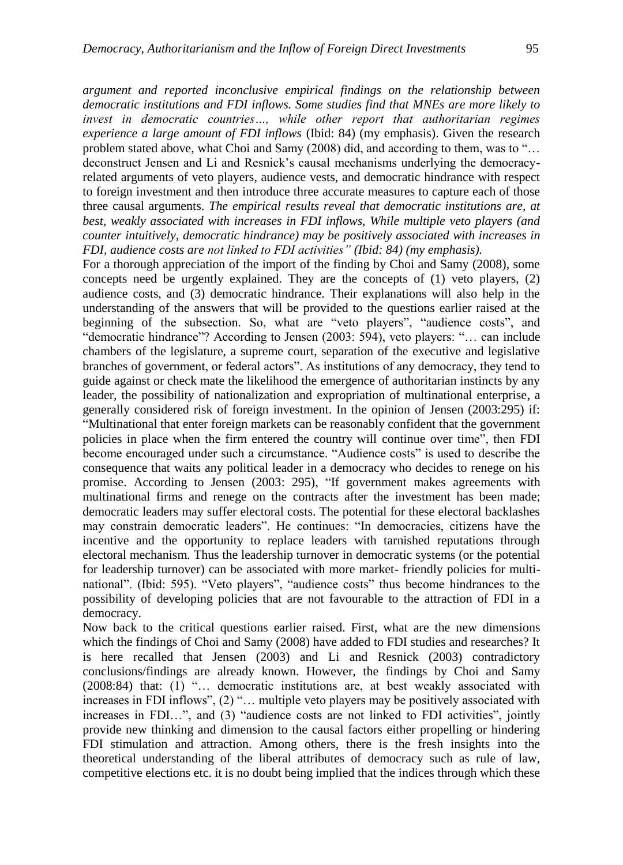*argument and reported inconclusive empirical findings on the relationship between democratic institutions and FDI inflows. Some studies find that MNEs are more likely to invest in democratic countries…, while other report that authoritarian regimes experience a large amount of FDI inflows* (Ibid: 84) (my emphasis). Given the research problem stated above, what Choi and Samy (2008) did, and according to them, was to "… deconstruct Jensen and Li and Resnick's causal mechanisms underlying the democracyrelated arguments of veto players, audience vests, and democratic hindrance with respect to foreign investment and then introduce three accurate measures to capture each of those three causal arguments. *The empirical results reveal that democratic institutions are, at best, weakly associated with increases in FDI inflows, While multiple veto players (and counter intuitively, democratic hindrance) may be positively associated with increases in FDI, audience costs are not linked to FDI activities" (Ibid: 84) (my emphasis).*

For a thorough appreciation of the import of the finding by Choi and Samy (2008), some concepts need be urgently explained. They are the concepts of (1) veto players, (2) audience costs, and (3) democratic hindrance. Their explanations will also help in the understanding of the answers that will be provided to the questions earlier raised at the beginning of the subsection. So, what are "veto players", "audience costs", and "democratic hindrance"? According to Jensen (2003: 594), veto players: "… can include chambers of the legislature, a supreme court, separation of the executive and legislative branches of government, or federal actors". As institutions of any democracy, they tend to guide against or check mate the likelihood the emergence of authoritarian instincts by any leader, the possibility of nationalization and expropriation of multinational enterprise, a generally considered risk of foreign investment. In the opinion of Jensen (2003:295) if: "Multinational that enter foreign markets can be reasonably confident that the government policies in place when the firm entered the country will continue over time", then FDI become encouraged under such a circumstance. "Audience costs" is used to describe the consequence that waits any political leader in a democracy who decides to renege on his promise. According to Jensen (2003: 295), "If government makes agreements with multinational firms and renege on the contracts after the investment has been made; democratic leaders may suffer electoral costs. The potential for these electoral backlashes may constrain democratic leaders". He continues: "In democracies, citizens have the incentive and the opportunity to replace leaders with tarnished reputations through electoral mechanism. Thus the leadership turnover in democratic systems (or the potential for leadership turnover) can be associated with more market- friendly policies for multinational". (Ibid: 595). "Veto players", "audience costs" thus become hindrances to the possibility of developing policies that are not favourable to the attraction of FDI in a democracy.

Now back to the critical questions earlier raised. First, what are the new dimensions which the findings of Choi and Samy (2008) have added to FDI studies and researches? It is here recalled that Jensen (2003) and Li and Resnick (2003) contradictory conclusions/findings are already known. However, the findings by Choi and Samy (2008:84) that: (1) "… democratic institutions are, at best weakly associated with increases in FDI inflows", (2) "… multiple veto players may be positively associated with increases in FDI…", and (3) "audience costs are not linked to FDI activities", jointly provide new thinking and dimension to the causal factors either propelling or hindering FDI stimulation and attraction. Among others, there is the fresh insights into the theoretical understanding of the liberal attributes of democracy such as rule of law, competitive elections etc. it is no doubt being implied that the indices through which these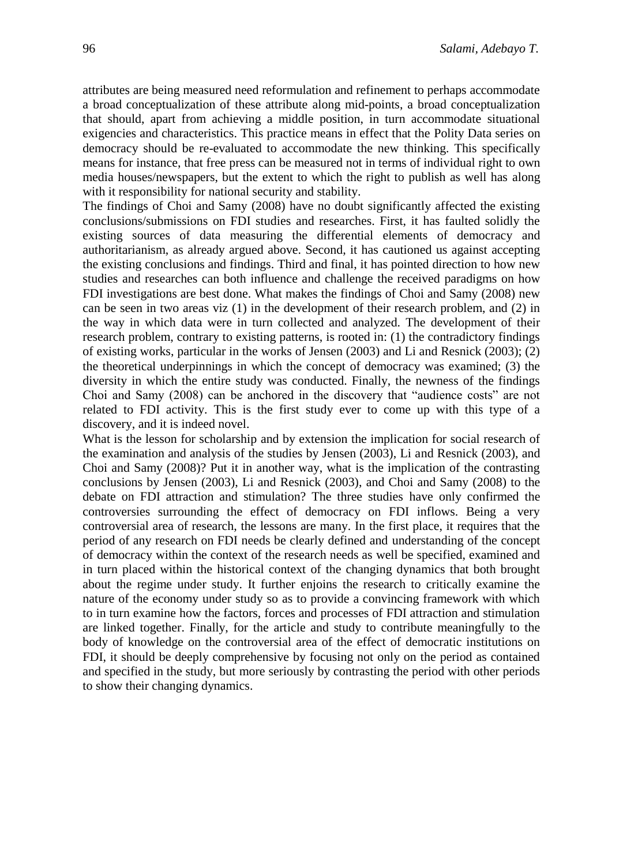attributes are being measured need reformulation and refinement to perhaps accommodate a broad conceptualization of these attribute along mid-points, a broad conceptualization that should, apart from achieving a middle position, in turn accommodate situational exigencies and characteristics. This practice means in effect that the Polity Data series on democracy should be re-evaluated to accommodate the new thinking. This specifically means for instance, that free press can be measured not in terms of individual right to own media houses/newspapers, but the extent to which the right to publish as well has along with it responsibility for national security and stability.

The findings of Choi and Samy (2008) have no doubt significantly affected the existing conclusions/submissions on FDI studies and researches. First, it has faulted solidly the existing sources of data measuring the differential elements of democracy and authoritarianism, as already argued above. Second, it has cautioned us against accepting the existing conclusions and findings. Third and final, it has pointed direction to how new studies and researches can both influence and challenge the received paradigms on how FDI investigations are best done. What makes the findings of Choi and Samy (2008) new can be seen in two areas viz (1) in the development of their research problem, and (2) in the way in which data were in turn collected and analyzed. The development of their research problem, contrary to existing patterns, is rooted in: (1) the contradictory findings of existing works, particular in the works of Jensen (2003) and Li and Resnick (2003); (2) the theoretical underpinnings in which the concept of democracy was examined; (3) the diversity in which the entire study was conducted. Finally, the newness of the findings Choi and Samy (2008) can be anchored in the discovery that "audience costs" are not related to FDI activity. This is the first study ever to come up with this type of a discovery, and it is indeed novel.

What is the lesson for scholarship and by extension the implication for social research of the examination and analysis of the studies by Jensen (2003), Li and Resnick (2003), and Choi and Samy (2008)? Put it in another way, what is the implication of the contrasting conclusions by Jensen (2003), Li and Resnick (2003), and Choi and Samy (2008) to the debate on FDI attraction and stimulation? The three studies have only confirmed the controversies surrounding the effect of democracy on FDI inflows. Being a very controversial area of research, the lessons are many. In the first place, it requires that the period of any research on FDI needs be clearly defined and understanding of the concept of democracy within the context of the research needs as well be specified, examined and in turn placed within the historical context of the changing dynamics that both brought about the regime under study. It further enjoins the research to critically examine the nature of the economy under study so as to provide a convincing framework with which to in turn examine how the factors, forces and processes of FDI attraction and stimulation are linked together. Finally, for the article and study to contribute meaningfully to the body of knowledge on the controversial area of the effect of democratic institutions on FDI, it should be deeply comprehensive by focusing not only on the period as contained and specified in the study, but more seriously by contrasting the period with other periods to show their changing dynamics.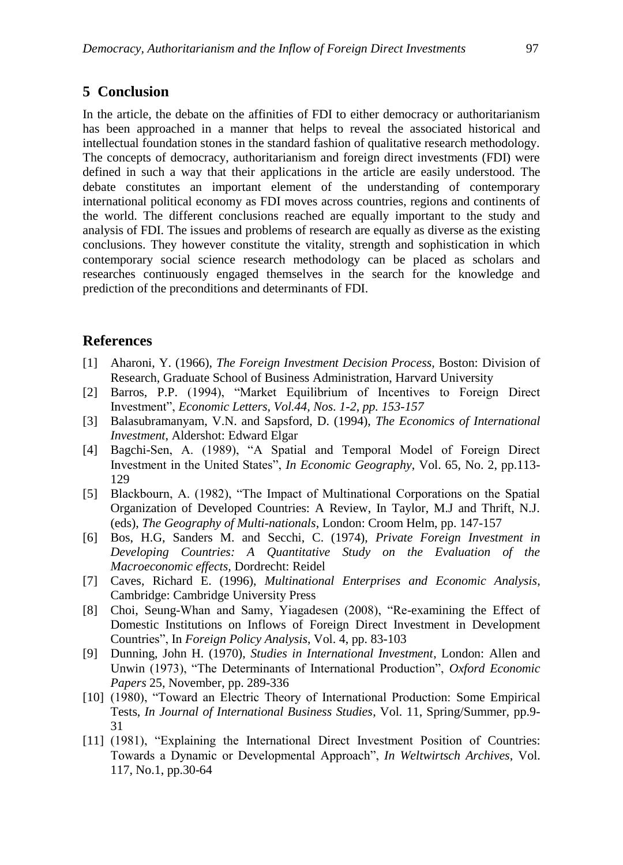## **5 Conclusion**

In the article, the debate on the affinities of FDI to either democracy or authoritarianism has been approached in a manner that helps to reveal the associated historical and intellectual foundation stones in the standard fashion of qualitative research methodology. The concepts of democracy, authoritarianism and foreign direct investments (FDI) were defined in such a way that their applications in the article are easily understood. The debate constitutes an important element of the understanding of contemporary international political economy as FDI moves across countries, regions and continents of the world. The different conclusions reached are equally important to the study and analysis of FDI. The issues and problems of research are equally as diverse as the existing conclusions. They however constitute the vitality, strength and sophistication in which contemporary social science research methodology can be placed as scholars and researches continuously engaged themselves in the search for the knowledge and prediction of the preconditions and determinants of FDI.

### **References**

- [1] Aharoni, Y. (1966), *The Foreign Investment Decision Process,* Boston: Division of Research, Graduate School of Business Administration, Harvard University
- [2] Barros, P.P. (1994), "Market Equilibrium of Incentives to Foreign Direct Investment", *Economic Letters, Vol.44, Nos. 1-2, pp. 153-157*
- [3] Balasubramanyam, V.N. and Sapsford, D. (1994), *The Economics of International Investment*, Aldershot: Edward Elgar
- [4] Bagchi-Sen, A. (1989), "A Spatial and Temporal Model of Foreign Direct Investment in the United States", *In Economic Geography*, Vol. 65, No. 2, pp.113- 129
- [5] Blackbourn, A. (1982), "The Impact of Multinational Corporations on the Spatial Organization of Developed Countries: A Review, In Taylor, M.J and Thrift, N.J. (eds), *The Geography of Multi-nationals*, London: Croom Helm, pp. 147-157
- [6] Bos, H.G, Sanders M. and Secchi, C. (1974), *Private Foreign Investment in Developing Countries: A Quantitative Study on the Evaluation of the Macroeconomic effects,* Dordrecht: Reidel
- [7] Caves, Richard E. (1996), *Multinational Enterprises and Economic Analysis*, Cambridge: Cambridge University Press
- [8] Choi, Seung-Whan and Samy, Yiagadesen (2008), "Re-examining the Effect of Domestic Institutions on Inflows of Foreign Direct Investment in Development Countries", In *Foreign Policy Analysis*, Vol. 4, pp. 83-103
- [9] Dunning, John H. (1970), *Studies in International Investment*, London: Allen and Unwin (1973), "The Determinants of International Production", *Oxford Economic Papers* 25, November, pp. 289-336
- [10] (1980), "Toward an Electric Theory of International Production: Some Empirical Tests, *In Journal of International Business Studies*, Vol. 11, Spring/Summer, pp.9- 31
- [11] (1981), "Explaining the International Direct Investment Position of Countries: Towards a Dynamic or Developmental Approach", *In Weltwirtsch Archives*, Vol. 117, No.1, pp.30-64